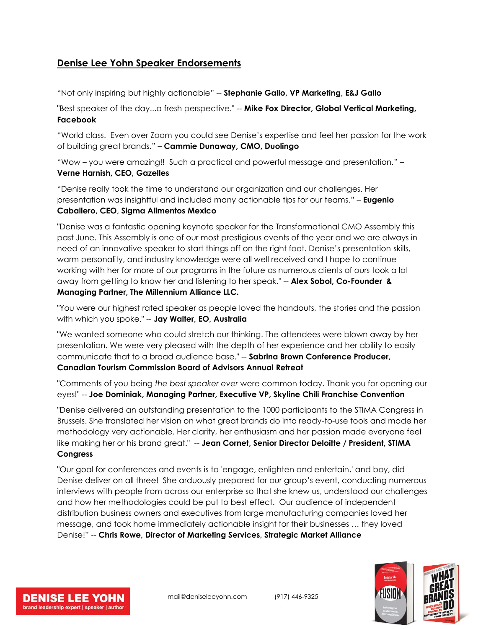## **Denise Lee Yohn Speaker Endorsements**

"Not only inspiring but highly actionable" -- **Stephanie Gallo, VP Marketing, E&J Gallo**

"Best speaker of the day...a fresh perspective." -- **Mike Fox Director, Global Vertical Marketing, Facebook**

"World class. Even over Zoom you could see Denise's expertise and feel her passion for the work of building great brands." – **Cammie Dunaway, CMO, Duolingo**

"Wow – you were amazing!! Such a practical and powerful message and presentation." – **Verne Harnish, CEO, Gazelles**

"Denise really took the time to understand our organization and our challenges. Her presentation was insightful and included many actionable tips for our teams." – **Eugenio Caballero, CEO, Sigma Alimentos Mexico**

"Denise was a fantastic opening keynote speaker for the Transformational CMO Assembly this past June. This Assembly is one of our most prestigious events of the year and we are always in need of an innovative speaker to start things off on the right foot. Denise's presentation skills, warm personality, and industry knowledge were all well received and I hope to continue working with her for more of our programs in the future as numerous clients of ours took a lot away from getting to know her and listening to her speak." -- **Alex Sobol, Co-Founder & Managing Partner, The Millennium Alliance LLC.**

"You were our highest rated speaker as people loved the handouts, the stories and the passion with which you spoke." -- **Jay Walter, EO, Australia**

"We wanted someone who could stretch our thinking. The attendees were blown away by her presentation. We were very pleased with the depth of her experience and her ability to easily communicate that to a broad audience base." -- **Sabrina Brown Conference Producer, Canadian Tourism Commission Board of Advisors Annual Retreat**

"Comments of you being *the best speaker ever* were common today. Thank you for opening our eyes!" -- **Joe Dominiak, Managing Partner, Executive VP, Skyline Chili Franchise Convention**

"Denise delivered an outstanding presentation to the 1000 participants to the STIMA Congress in Brussels. She translated her vision on what great brands do into ready-to-use tools and made her methodology very actionable. Her clarity, her enthusiasm and her passion made everyone feel like making her or his brand great." -- **Jean Cornet, Senior Director Deloitte / President, STIMA Congress**

"Our goal for conferences and events is to 'engage, enlighten and entertain,' and boy, did Denise deliver on all three! She arduously prepared for our group's event, conducting numerous interviews with people from across our enterprise so that she knew us, understood our challenges and how her methodologies could be put to best effect. Our audience of independent distribution business owners and executives from large manufacturing companies loved her message, and took home immediately actionable insight for their businesses … they loved Denise!" -- **Chris Rowe, Director of Marketing Services, Strategic Market Alliance**



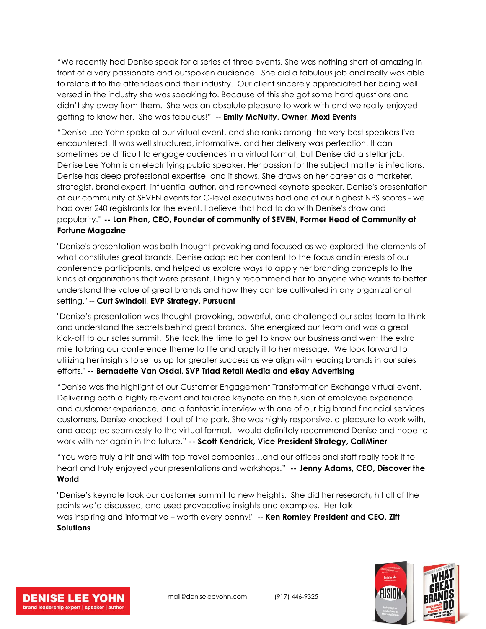"We recently had Denise speak for a series of three events. She was nothing short of amazing in front of a very passionate and outspoken audience. She did a fabulous job and really was able to relate it to the attendees and their industry. Our client sincerely appreciated her being well versed in the industry she was speaking to. Because of this she got some hard questions and didn't shy away from them. She was an absolute pleasure to work with and we really enjoyed getting to know her. She was fabulous!" -- **Emily McNulty, Owner, Moxi Events**

"Denise Lee Yohn spoke at our virtual event, and she ranks among the very best speakers I've encountered. It was well structured, informative, and her delivery was perfection. It can sometimes be difficult to engage audiences in a virtual format, but Denise did a stellar job. Denise Lee Yohn is an electrifying public speaker. Her passion for the subject matter is infections. Denise has deep professional expertise, and it shows. She draws on her career as a marketer, strategist, brand expert, influential author, and renowned keynote speaker. Denise's presentation at our community of SEVEN events for C-level executives had one of our highest NPS scores - we had over 240 registrants for the event. I believe that had to do with Denise's draw and popularity." **-- Lan Phan, CEO, Founder of community of SEVEN, Former Head of Community at Fortune Magazine**

"Denise's presentation was both thought provoking and focused as we explored the elements of what constitutes great brands. Denise adapted her content to the focus and interests of our conference participants, and helped us explore ways to apply her branding concepts to the kinds of organizations that were present. I highly recommend her to anyone who wants to better understand the value of great brands and how they can be cultivated in any organizational setting." -- **Curt Swindoll, EVP Strategy, Pursuant**

"Denise's presentation was thought-provoking, powerful, and challenged our sales team to think and understand the secrets behind great brands. She energized our team and was a great kick-off to our sales summit. She took the time to get to know our business and went the extra mile to bring our conference theme to life and apply it to her message. We look forward to utilizing her insights to set us up for greater success as we align with leading brands in our sales efforts." **-- Bernadette Van Osdal, SVP Triad Retail Media and eBay Advertising**

"Denise was the highlight of our Customer Engagement Transformation Exchange virtual event. Delivering both a highly relevant and tailored keynote on the fusion of employee experience and customer experience, and a fantastic interview with one of our big brand financial services customers, Denise knocked it out of the park. She was highly responsive, a pleasure to work with, and adapted seamlessly to the virtual format. I would definitely recommend Denise and hope to work with her again in the future." **-- Scott Kendrick, Vice President Strategy, CallMiner**

"You were truly a hit and with top travel companies…and our offices and staff really took it to heart and truly enjoyed your presentations and workshops." **-- Jenny Adams, CEO, Discover the World**

"Denise's keynote took our customer summit to new heights. She did her research, hit all of the points we'd discussed, and used provocative insights and examples. Her talk was inspiring and informative – worth every penny!" -- **Ken Romley President and CEO, Zift Solutions**



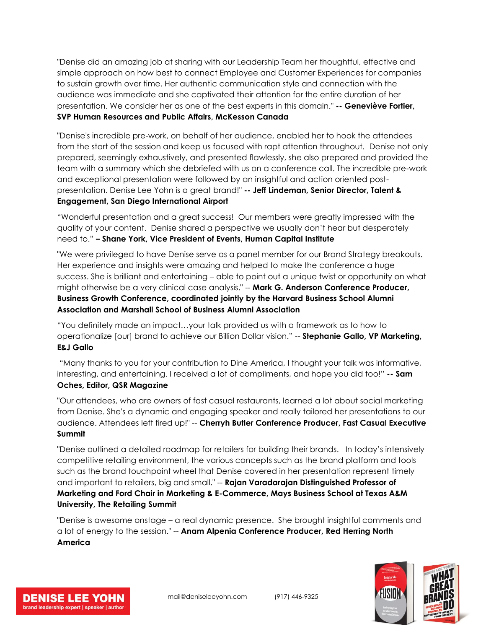"Denise did an amazing job at sharing with our Leadership Team her thoughtful, effective and simple approach on how best to connect Employee and Customer Experiences for companies to sustain growth over time. Her authentic communication style and connection with the audience was immediate and she captivated their attention for the entire duration of her presentation. We consider her as one of the best experts in this domain." **-- Geneviève Fortier,** 

## **SVP Human Resources and Public Affairs, McKesson Canada**

"Denise's incredible pre-work, on behalf of her audience, enabled her to hook the attendees from the start of the session and keep us focused with rapt attention throughout. Denise not only prepared, seemingly exhaustively, and presented flawlessly, she also prepared and provided the team with a summary which she debriefed with us on a conference call. The incredible pre-work and exceptional presentation were followed by an insightful and action oriented postpresentation. Denise Lee Yohn is a great brand!" **-- Jeff Lindeman, Senior Director, Talent & Engagement, San Diego International Airport**

"Wonderful presentation and a great success! Our members were greatly impressed with the quality of your content. Denise shared a perspective we usually don't hear but desperately need to." **– Shane York, Vice President of Events, Human Capital Institute**

"We were privileged to have Denise serve as a panel member for our Brand Strategy breakouts. Her experience and insights were amazing and helped to make the conference a huge success. She is brilliant and entertaining – able to point out a unique twist or opportunity on what might otherwise be a very clinical case analysis." -- **Mark G. Anderson Conference Producer, Business Growth Conference, coordinated jointly by the Harvard Business School Alumni Association and Marshall School of Business Alumni Association**

"You definitely made an impact…your talk provided us with a framework as to how to operationalize [our] brand to achieve our Billion Dollar vision." -- **Stephanie Gallo, VP Marketing, E&J Gallo**

"Many thanks to you for your contribution to Dine America, I thought your talk was informative, interesting, and entertaining. I received a lot of compliments, and hope you did too!" **-- Sam Oches, Editor, QSR Magazine**

"Our attendees, who are owners of fast casual restaurants, learned a lot about social marketing from Denise. She's a dynamic and engaging speaker and really tailored her presentations to our audience. Attendees left fired up!" -- **Cherryh Butler Conference Producer, Fast Casual Executive Summit**

"Denise outlined a detailed roadmap for retailers for building their brands. In today's intensively competitive retailing environment, the various concepts such as the brand platform and tools such as the brand touchpoint wheel that Denise covered in her presentation represent timely and important to retailers, big and small." -- **Rajan Varadarajan Distinguished Professor of Marketing and Ford Chair in Marketing & E-Commerce, Mays Business School at Texas A&M University, The Retailing Summit**

"Denise is awesome onstage – a real dynamic presence. She brought insightful comments and a lot of energy to the session." -- **Anam Alpenia Conference Producer, Red Herring North America**



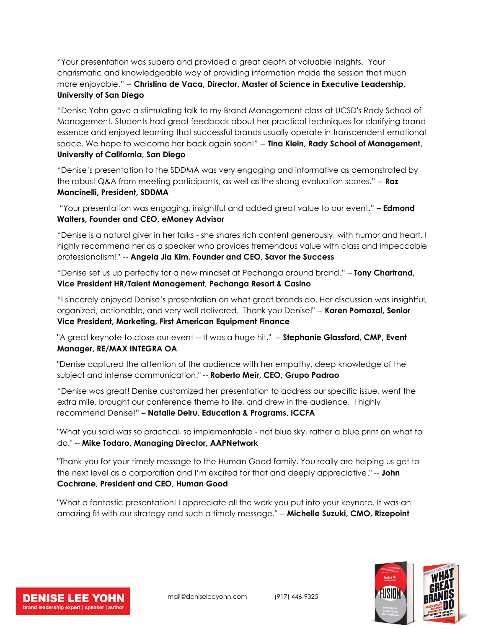"Your presentation was superb and provided a great depth of valuable insights. Your charismatic and knowledgeable way of providing information made the session that much more enjoyable." -- **Christina de Vaca, Director, Master of Science in Executive Leadership, University of San Diego**

"Denise Yohn gave a stimulating talk to my Brand Management class at UCSD's Rady School of Management. Students had great feedback about her practical techniques for clarifying brand essence and enjoyed learning that successful brands usually operate in transcendent emotional space. We hope to welcome her back again soon!" -- **Tina Klein, Rady School of Management, University of California, San Diego**

"Denise's presentation to the SDDMA was very engaging and informative as demonstrated by the robust Q&A from meeting participants, as well as the strong evaluation scores." -- **Roz Mancinelli, President, SDDMA**

"Your presentation was engaging, insightful and added great value to our event." **– Edmond Walters, Founder and CEO, eMoney Advisor**

"Denise is a natural giver in her talks - she shares rich content generously, with humor and heart. I highly recommend her as a speaker who provides tremendous value with class and impeccable professionalism!" -- **Angela Jia Kim, Founder and CEO, Savor the Success**

"Denise set us up perfectly for a new mindset at Pechanga around brand." – **Tony Chartrand, Vice President HR/Talent Management, Pechanga Resort & Casino** 

"I sincerely enjoyed Denise's presentation on what great brands do. Her discussion was insightful, organized, actionable, and very well delivered. Thank you Denise!" -- **Karen Pomazal, Senior Vice President, Marketing, First American Equipment Finance**

"A great keynote to close our event -- It was a huge hit." -- **Stephanie Glassford, CMP, Event Manager, RE/MAX INTEGRA OA**

"Denise captured the attention of the audience with her empathy, deep knowledge of the subject and intense communication." -- **Roberto Meir, CEO, Grupo Padrao**

"Denise was great! Denise customized her presentation to address our specific issue, went the extra mile, brought our conference theme to life, and drew in the audience. I highly recommend Denise!" **– Natalie Deiru, Education & Programs, ICCFA**

"What you said was so practical, so implementable - not blue sky, rather a blue print on what to do." -- **Mike Todaro, Managing Director, AAPNetwork**

"Thank you for your timely message to the Human Good family. You really are helping us get to the next level as a corporation and I'm excited for that and deeply appreciative." -- **John Cochrane, President and CEO, Human Good**

"What a fantastic presentation! I appreciate all the work you put into your keynote. It was an amazing fit with our strategy and such a timely message." -- **Michelle Suzuki, CMO, Rizepoint**